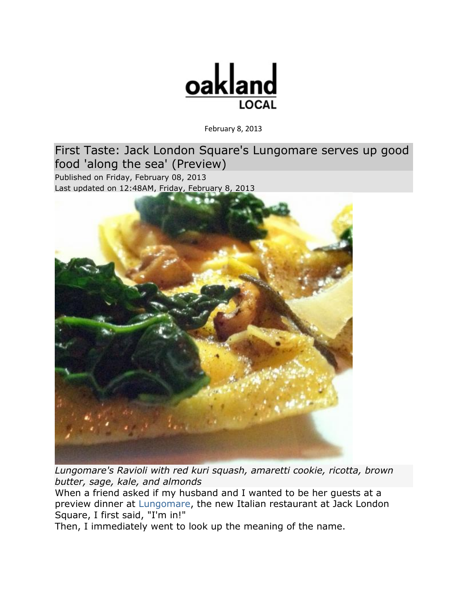

February 8, 2013

[First Taste: Jack London Square's Lungomare serves up good](http://oaklandlocal.com/article/first-taste-jack-london-squares-lungomare-serves-good-food-along-sea-preview)  [food 'along the sea' \(Preview\)](http://oaklandlocal.com/article/first-taste-jack-london-squares-lungomare-serves-good-food-along-sea-preview) Published on Friday, February 08, 2013 Last updated on 12:48AM, Friday, February 8, 2013



*Lungomare's Ravioli with red kuri squash, amaretti cookie, ricotta, brown butter, sage, kale, and almonds*

When a friend asked if my husband and I wanted to be her guests at a preview dinner at [Lungomare,](http://lungomareoakland.com/) the new Italian restaurant at Jack London Square, I first said, "I'm in!"

Then, I immediately went to look up the meaning of the name.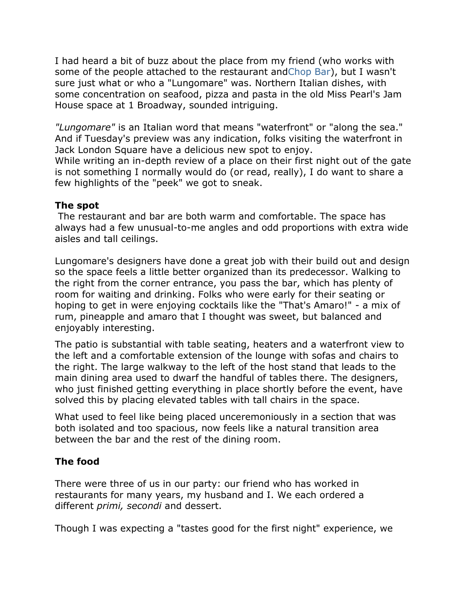I had heard a bit of buzz about the place from my friend (who works with some of the people attached to the restaurant an[dChop Bar\)](http://www.oaklandchopbar.com/), but I wasn't sure just what or who a "Lungomare" was. Northern Italian dishes, with some concentration on seafood, pizza and pasta in the old Miss Pearl's Jam House space at 1 Broadway, sounded intriguing.

*"Lungomare"* is an Italian word that means "waterfront" or "along the sea." And if Tuesday's preview was any indication, folks visiting the waterfront in Jack London Square have a delicious new spot to enjoy.

While writing an in-depth review of a place on their first night out of the gate is not something I normally would do (or read, really), I do want to share a few highlights of the "peek" we got to sneak.

## **The spot**

The restaurant and bar are both warm and comfortable. The space has always had a few unusual-to-me angles and odd proportions with extra wide aisles and tall ceilings.

Lungomare's designers have done a great job with their build out and design so the space feels a little better organized than its predecessor. Walking to the right from the corner entrance, you pass the bar, which has plenty of room for waiting and drinking. Folks who were early for their seating or hoping to get in were enjoying cocktails like the "That's Amaro!" - a mix of rum, pineapple and amaro that I thought was sweet, but balanced and enjoyably interesting.

The patio is substantial with table seating, heaters and a waterfront view to the left and a comfortable extension of the lounge with sofas and chairs to the right. The large walkway to the left of the host stand that leads to the main dining area used to dwarf the handful of tables there. The designers, who just finished getting everything in place shortly before the event, have solved this by placing elevated tables with tall chairs in the space.

What used to feel like being placed unceremoniously in a section that was both isolated and too spacious, now feels like a natural transition area between the bar and the rest of the dining room.

## **The food**

There were three of us in our party: our friend who has worked in restaurants for many years, my husband and I. We each ordered a different *primi, secondi* and dessert.

Though I was expecting a "tastes good for the first night" experience, we